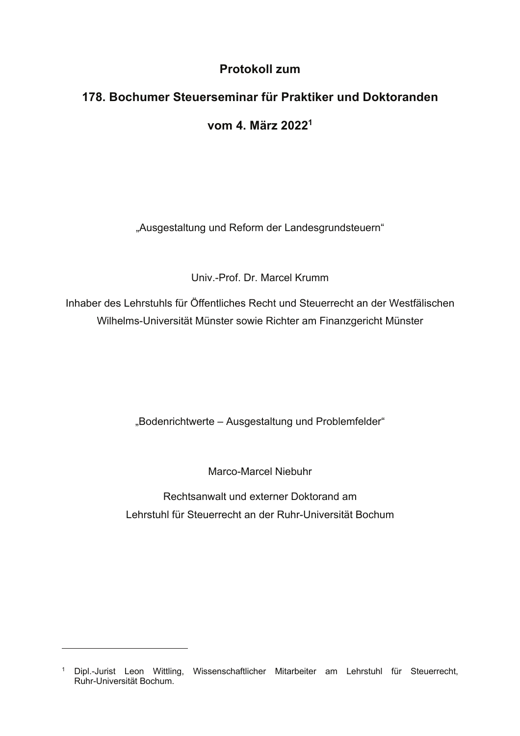## Protokoll zum

## 178. Bochumer Steuerseminar für Praktiker und Doktoranden vom 4. März 2022<sup>1</sup>

"Ausgestaltung und Reform der Landesgrundsteuern"

Univ.-Prof. Dr. Marcel Krumm

Inhaber des Lehrstuhls für Öffentliches Recht und Steuerrecht an der Westfälischen Wilhelms-Universität Münster sowie Richter am Finanzgericht Münster

"Bodenrichtwerte - Ausgestaltung und Problemfelder"

Marco-Marcel Niebuhr

Rechtsanwalt und externer Doktorand am Lehrstuhl für Steuerrecht an der Ruhr-Universität Bochum

<sup>&</sup>lt;sup>1</sup> Dipl.-Jurist Leon Wittling, Wissenschaftlicher Mitarbeiter am Lehrstuhl für Steuerrecht, Ruhr-Universität Bochum.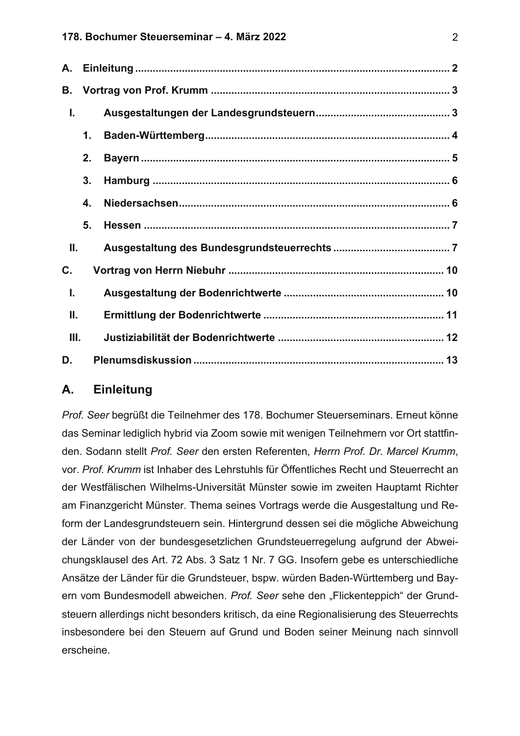| В.   |    |  |  |
|------|----|--|--|
| I.   |    |  |  |
|      | 1. |  |  |
|      | 2. |  |  |
|      | 3. |  |  |
|      | 4. |  |  |
|      | 5. |  |  |
| Ш.   |    |  |  |
| C.   |    |  |  |
| I.   |    |  |  |
| Ш.   |    |  |  |
| III. |    |  |  |
| D.   |    |  |  |

### $\mathbf{A}$ . **Einleitung**

Prof. Seer begrüßt die Teilnehmer des 178. Bochumer Steuerseminars. Erneut könne das Seminar lediglich hybrid via Zoom sowie mit wenigen Teilnehmern vor Ort stattfinden. Sodann stellt Prof. Seer den ersten Referenten, Herrn Prof. Dr. Marcel Krumm, vor. Prof. Krumm ist Inhaber des Lehrstuhls für Öffentliches Recht und Steuerrecht an der Westfälischen Wilhelms-Universität Münster sowie im zweiten Hauptamt Richter am Finanzgericht Münster. Thema seines Vortrags werde die Ausgestaltung und Reform der Landesgrundsteuern sein. Hintergrund dessen sei die mögliche Abweichung der Länder von der bundesgesetzlichen Grundsteuerregelung aufgrund der Abweichungsklausel des Art. 72 Abs. 3 Satz 1 Nr. 7 GG. Insofern gebe es unterschiedliche Ansätze der Länder für die Grundsteuer, bspw. würden Baden-Württemberg und Bayern vom Bundesmodell abweichen. Prof. Seer sehe den "Flickenteppich" der Grundsteuern allerdings nicht besonders kritisch, da eine Regionalisierung des Steuerrechts insbesondere bei den Steuern auf Grund und Boden seiner Meinung nach sinnvoll erscheine.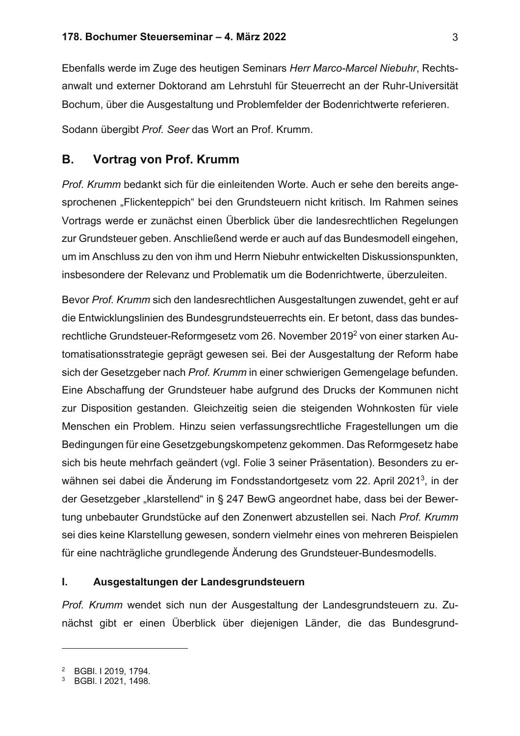Ebenfalls werde im Zuge des heutigen Seminars Herr Marco-Marcel Niebuhr, Rechtsanwalt und externer Doktorand am Lehrstuhl für Steuerrecht an der Ruhr-Universität Bochum, über die Ausgestaltung und Problemfelder der Bodenrichtwerte referieren.

Sodann übergibt Prof. Seer das Wort an Prof. Krumm.

### $\mathbf{B}$ . **Vortrag von Prof. Krumm**

Prof. Krumm bedankt sich für die einleitenden Worte. Auch er sehe den bereits angesprochenen "Flickenteppich" bei den Grundsteuern nicht kritisch. Im Rahmen seines Vortrags werde er zunächst einen Überblick über die landesrechtlichen Regelungen zur Grundsteuer geben. Anschließend werde er auch auf das Bundesmodell eingehen, um im Anschluss zu den von ihm und Herrn Niebuhr entwickelten Diskussionspunkten, insbesondere der Relevanz und Problematik um die Bodenrichtwerte, überzuleiten.

Bevor Prof. Krumm sich den landesrechtlichen Ausgestaltungen zuwendet, geht er auf die Entwicklungslinien des Bundesgrundsteuerrechts ein. Er betont, dass das bundesrechtliche Grundsteuer-Reformgesetz vom 26. November 2019<sup>2</sup> von einer starken Automatisationsstrategie geprägt gewesen sei. Bei der Ausgestaltung der Reform habe sich der Gesetzgeber nach Prof. Krumm in einer schwierigen Gemengelage befunden. Eine Abschaffung der Grundsteuer habe aufgrund des Drucks der Kommunen nicht zur Disposition gestanden. Gleichzeitig seien die steigenden Wohnkosten für viele Menschen ein Problem. Hinzu seien verfassungsrechtliche Fragestellungen um die Bedingungen für eine Gesetzgebungskompetenz gekommen. Das Reformgesetz habe sich bis heute mehrfach geändert (vgl. Folie 3 seiner Präsentation). Besonders zu erwähnen sei dabei die Änderung im Fondsstandortgesetz vom 22. April 2021<sup>3</sup>, in der der Gesetzgeber "klarstellend" in § 247 BewG angeordnet habe, dass bei der Bewertung unbebauter Grundstücke auf den Zonenwert abzustellen sei. Nach Prof. Krumm sei dies keine Klarstellung gewesen, sondern vielmehr eines von mehreren Beispielen für eine nachträgliche grundlegende Änderung des Grundsteuer-Bundesmodells.

#### $\mathbf{L}$ Ausgestaltungen der Landesgrundsteuern

Prof. Krumm wendet sich nun der Ausgestaltung der Landesgrundsteuern zu. Zunächst gibt er einen Überblick über diejenigen Länder, die das Bundesgrund-

BGBI. I 2019, 1794.

 $3<sup>1</sup>$ BGBI, I 2021, 1498.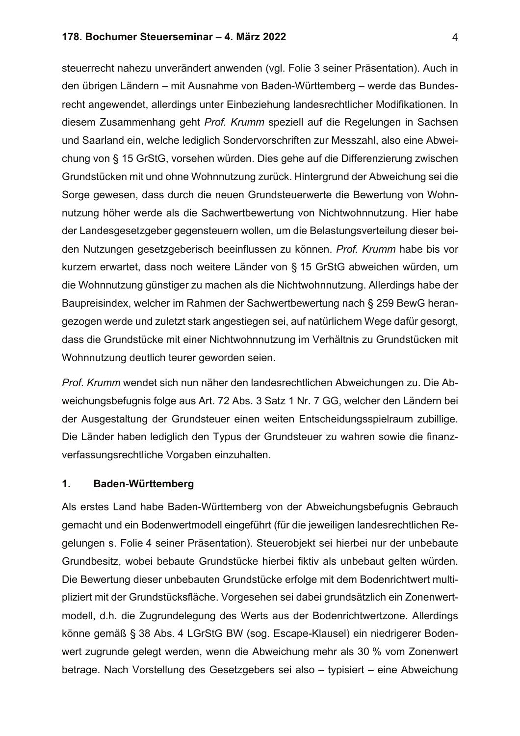### 178. Bochumer Steuerseminar - 4. März 2022

steuerrecht nahezu unverändert anwenden (vgl. Folie 3 seiner Präsentation). Auch in den übrigen Ländern – mit Ausnahme von Baden-Württemberg – werde das Bundesrecht angewendet, allerdings unter Einbeziehung landesrechtlicher Modifikationen. In diesem Zusammenhang geht Prof. Krumm speziell auf die Regelungen in Sachsen und Saarland ein, welche lediglich Sondervorschriften zur Messzahl, also eine Abweichung von § 15 GrStG, vorsehen würden. Dies gehe auf die Differenzierung zwischen Grundstücken mit und ohne Wohnnutzung zurück. Hintergrund der Abweichung sei die Sorge gewesen, dass durch die neuen Grundsteuerwerte die Bewertung von Wohnnutzung höher werde als die Sachwertbewertung von Nichtwohnnutzung. Hier habe der Landesgesetzgeber gegensteuern wollen, um die Belastungsverteilung dieser beiden Nutzungen gesetzgeberisch beeinflussen zu können. Prof. Krumm habe bis vor kurzem erwartet, dass noch weitere Länder von § 15 GrStG abweichen würden, um die Wohnnutzung günstiger zu machen als die Nichtwohnnutzung. Allerdings habe der Baupreisindex, welcher im Rahmen der Sachwertbewertung nach § 259 BewG herangezogen werde und zuletzt stark angestiegen sei, auf natürlichem Wege dafür gesorgt, dass die Grundstücke mit einer Nichtwohnnutzung im Verhältnis zu Grundstücken mit Wohnnutzung deutlich teurer geworden seien.

Prof. Krumm wendet sich nun näher den landesrechtlichen Abweichungen zu. Die Abweichungsbefugnis folge aus Art. 72 Abs. 3 Satz 1 Nr. 7 GG, welcher den Ländern bei der Ausgestaltung der Grundsteuer einen weiten Entscheidungsspielraum zubillige. Die Länder haben lediglich den Typus der Grundsteuer zu wahren sowie die finanzverfassungsrechtliche Vorgaben einzuhalten.

#### $\mathbf 1$ . **Baden-Württemberg**

Als erstes Land habe Baden-Württemberg von der Abweichungsbefugnis Gebrauch gemacht und ein Bodenwertmodell eingeführt (für die jeweiligen landesrechtlichen Regelungen s. Folie 4 seiner Präsentation). Steuerobjekt sei hierbei nur der unbebaute Grundbesitz, wobei bebaute Grundstücke hierbei fiktiv als unbebaut gelten würden. Die Bewertung dieser unbebauten Grundstücke erfolge mit dem Bodenrichtwert multipliziert mit der Grundstücksfläche. Vorgesehen sei dabei grundsätzlich ein Zonenwertmodell, d.h. die Zugrundelegung des Werts aus der Bodenrichtwertzone. Allerdings könne gemäß § 38 Abs. 4 LGrStG BW (sog. Escape-Klausel) ein niedrigerer Bodenwert zugrunde gelegt werden, wenn die Abweichung mehr als 30 % vom Zonenwert betrage. Nach Vorstellung des Gesetzgebers sei also - typisiert - eine Abweichung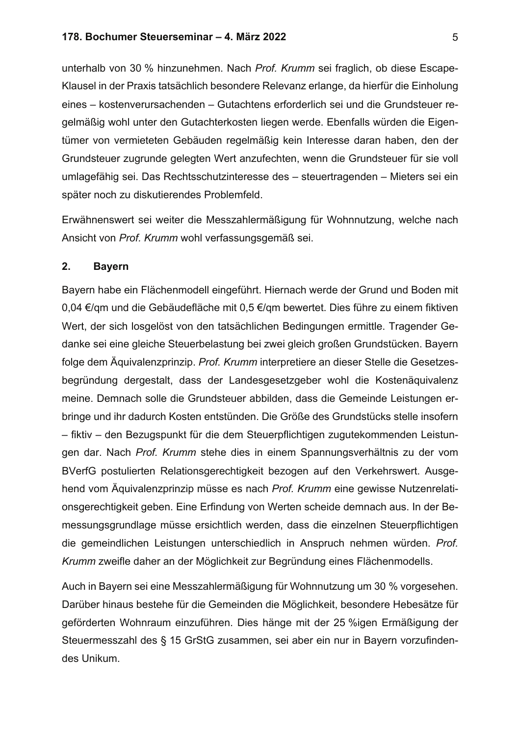unterhalb von 30 % hinzunehmen. Nach Prof. Krumm sei fraglich, ob diese Escape-Klausel in der Praxis tatsächlich besondere Relevanz erlange, da hierfür die Einholung eines - kostenverursachenden - Gutachtens erforderlich sei und die Grundsteuer regelmäßig wohl unter den Gutachterkosten liegen werde. Ebenfalls würden die Eigentümer von vermieteten Gebäuden regelmäßig kein Interesse daran haben, den der Grundsteuer zugrunde gelegten Wert anzufechten, wenn die Grundsteuer für sie voll umlagefähig sei. Das Rechtsschutzinteresse des - steuertragenden - Mieters sei ein später noch zu diskutierendes Problemfeld.

Erwähnenswert sei weiter die Messzahlermäßigung für Wohnnutzung, welche nach Ansicht von Prof. Krumm wohl verfassungsgemäß sei.

#### $2.$ **Bayern**

Bayern habe ein Flächenmodell eingeführt. Hiernach werde der Grund und Boden mit 0,04 €/qm und die Gebäudefläche mit 0,5 €/qm bewertet. Dies führe zu einem fiktiven Wert, der sich losgelöst von den tatsächlichen Bedingungen ermittle. Tragender Gedanke sei eine gleiche Steuerbelastung bei zwei gleich großen Grundstücken. Bayern folge dem Äquivalenzprinzip. Prof. Krumm interpretiere an dieser Stelle die Gesetzesbegründung dergestalt, dass der Landesgesetzgeber wohl die Kostenäquivalenz meine. Demnach solle die Grundsteuer abbilden, dass die Gemeinde Leistungen erbringe und ihr dadurch Kosten entstünden. Die Größe des Grundstücks stelle insofern - fiktiv - den Bezugspunkt für die dem Steuerpflichtigen zugutekommenden Leistungen dar. Nach Prof. Krumm stehe dies in einem Spannungsverhältnis zu der vom BVerfG postulierten Relationsgerechtigkeit bezogen auf den Verkehrswert. Ausgehend vom Äquivalenzprinzip müsse es nach Prof. Krumm eine gewisse Nutzenrelationsgerechtigkeit geben. Eine Erfindung von Werten scheide demnach aus. In der Bemessungsgrundlage müsse ersichtlich werden, dass die einzelnen Steuerpflichtigen die gemeindlichen Leistungen unterschiedlich in Anspruch nehmen würden. Prof. Krumm zweifle daher an der Möglichkeit zur Begründung eines Flächenmodells.

Auch in Bayern sei eine Messzahlermäßigung für Wohnnutzung um 30 % vorgesehen. Darüber hinaus bestehe für die Gemeinden die Möglichkeit, besondere Hebesätze für geförderten Wohnraum einzuführen. Dies hänge mit der 25 %igen Ermäßigung der Steuermesszahl des § 15 GrStG zusammen, sei aber ein nur in Bayern vorzufindendes Unikum.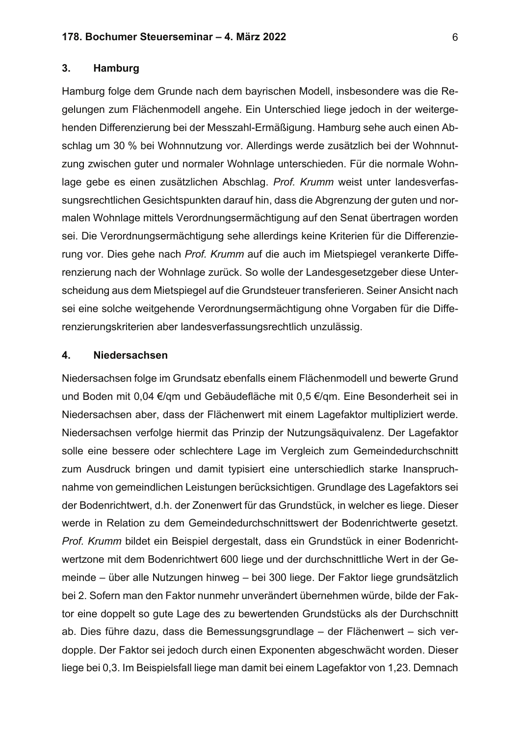#### 3. **Hamburg**

Hamburg folge dem Grunde nach dem bayrischen Modell, insbesondere was die Regelungen zum Flächenmodell angehe. Ein Unterschied liege jedoch in der weitergehenden Differenzierung bei der Messzahl-Ermäßigung. Hamburg sehe auch einen Abschlag um 30 % bei Wohnnutzung vor. Allerdings werde zusätzlich bei der Wohnnutzung zwischen guter und normaler Wohnlage unterschieden. Für die normale Wohnlage gebe es einen zusätzlichen Abschlag. Prof. Krumm weist unter landesverfassungsrechtlichen Gesichtspunkten darauf hin, dass die Abgrenzung der guten und normalen Wohnlage mittels Verordnungsermächtigung auf den Senat übertragen worden sei. Die Verordnungsermächtigung sehe allerdings keine Kriterien für die Differenzierung vor. Dies gehe nach Prof. Krumm auf die auch im Mietspiegel verankerte Differenzierung nach der Wohnlage zurück. So wolle der Landesgesetzgeber diese Unterscheidung aus dem Mietspiegel auf die Grundsteuer transferieren. Seiner Ansicht nach sei eine solche weitgehende Verordnungsermächtigung ohne Vorgaben für die Differenzierungskriterien aber landesverfassungsrechtlich unzulässig.

#### 4. **Niedersachsen**

Niedersachsen folge im Grundsatz ebenfalls einem Flächenmodell und bewerte Grund und Boden mit 0,04 €/qm und Gebäudefläche mit 0,5 €/qm. Eine Besonderheit sei in Niedersachsen aber, dass der Flächenwert mit einem Lagefaktor multipliziert werde. Niedersachsen verfolge hiermit das Prinzip der Nutzungsäquivalenz. Der Lagefaktor solle eine bessere oder schlechtere Lage im Vergleich zum Gemeindedurchschnitt zum Ausdruck bringen und damit typisiert eine unterschiedlich starke Inanspruchnahme von gemeindlichen Leistungen berücksichtigen. Grundlage des Lagefaktors sei der Bodenrichtwert, d.h. der Zonenwert für das Grundstück, in welcher es liege. Dieser werde in Relation zu dem Gemeindedurchschnittswert der Bodenrichtwerte gesetzt. Prof. Krumm bildet ein Beispiel dergestalt, dass ein Grundstück in einer Bodenrichtwertzone mit dem Bodenrichtwert 600 liege und der durchschnittliche Wert in der Gemeinde – über alle Nutzungen hinweg – bei 300 liege. Der Faktor liege grundsätzlich bei 2. Sofern man den Faktor nunmehr unverändert übernehmen würde, bilde der Faktor eine doppelt so gute Lage des zu bewertenden Grundstücks als der Durchschnitt ab. Dies führe dazu, dass die Bemessungsgrundlage – der Flächenwert – sich verdopple. Der Faktor sei jedoch durch einen Exponenten abgeschwächt worden. Dieser liege bei 0,3. Im Beispielsfall liege man damit bei einem Lagefaktor von 1,23. Demnach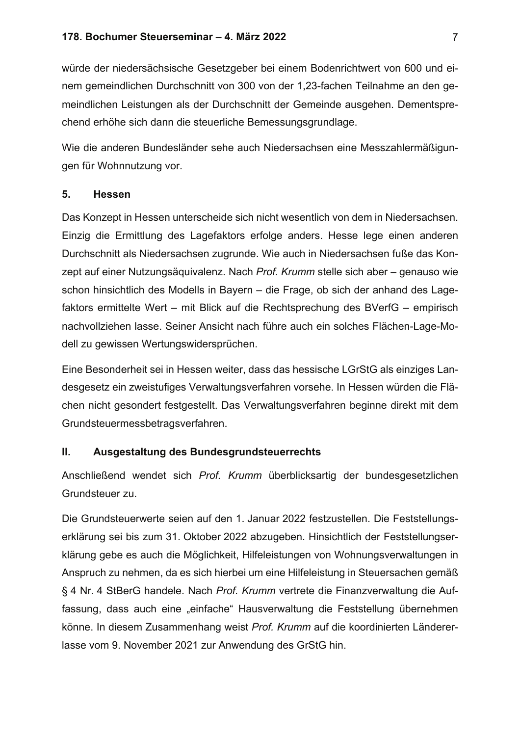würde der niedersächsische Gesetzgeber bei einem Bodenrichtwert von 600 und einem gemeindlichen Durchschnitt von 300 von der 1,23-fachen Teilnahme an den gemeindlichen Leistungen als der Durchschnitt der Gemeinde ausgehen. Dementsprechend erhöhe sich dann die steuerliche Bemessungsgrundlage.

Wie die anderen Bundesländer sehe auch Niedersachsen eine Messzahlermäßigungen für Wohnnutzung vor.

#### 5. **Hessen**

Das Konzept in Hessen unterscheide sich nicht wesentlich von dem in Niedersachsen. Einzig die Ermittlung des Lagefaktors erfolge anders. Hesse lege einen anderen Durchschnitt als Niedersachsen zugrunde. Wie auch in Niedersachsen fuße das Konzept auf einer Nutzungsäquivalenz. Nach Prof. Krumm stelle sich aber – genauso wie schon hinsichtlich des Modells in Bayern – die Frage, ob sich der anhand des Lagefaktors ermittelte Wert – mit Blick auf die Rechtsprechung des BVerfG – empirisch nachvollziehen lasse. Seiner Ansicht nach führe auch ein solches Flächen-Lage-Modell zu gewissen Wertungswidersprüchen.

Eine Besonderheit sei in Hessen weiter, dass das hessische LGrStG als einziges Landesgesetz ein zweistufiges Verwaltungsverfahren vorsehe. In Hessen würden die Flächen nicht gesondert festgestellt. Das Verwaltungsverfahren beginne direkt mit dem Grundsteuermessbetragsverfahren.

#### $II.$ Ausgestaltung des Bundesgrundsteuerrechts

Anschließend wendet sich Prof. Krumm überblicksartig der bundesgesetzlichen Grundsteuer zu.

Die Grundsteuerwerte seien auf den 1. Januar 2022 festzustellen. Die Feststellungserklärung sei bis zum 31. Oktober 2022 abzugeben. Hinsichtlich der Feststellungserklärung gebe es auch die Möglichkeit, Hilfeleistungen von Wohnungsverwaltungen in Anspruch zu nehmen, da es sich hierbei um eine Hilfeleistung in Steuersachen gemäß § 4 Nr. 4 StBerG handele. Nach Prof. Krumm vertrete die Finanzverwaltung die Auffassung, dass auch eine "einfache" Hausverwaltung die Feststellung übernehmen könne. In diesem Zusammenhang weist Prof. Krumm auf die koordinierten Ländererlasse vom 9. November 2021 zur Anwendung des GrStG hin.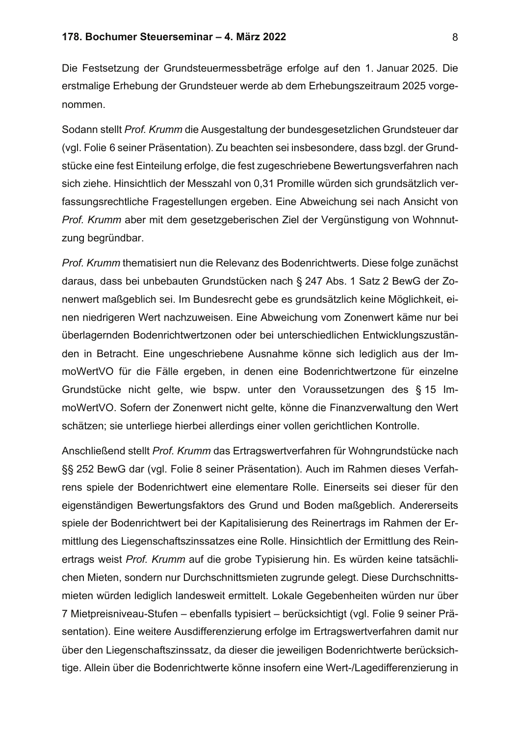Die Festsetzung der Grundsteuermessbeträge erfolge auf den 1. Januar 2025. Die erstmalige Erhebung der Grundsteuer werde ab dem Erhebungszeitraum 2025 vorgenommen.

Sodann stellt Prof. Krumm die Ausgestaltung der bundesgesetzlichen Grundsteuer dar (vgl. Folie 6 seiner Präsentation). Zu beachten sei insbesondere, dass bzgl. der Grundstücke eine fest Einteilung erfolge, die fest zugeschriebene Bewertungsverfahren nach sich ziehe. Hinsichtlich der Messzahl von 0,31 Promille würden sich grundsätzlich verfassungsrechtliche Fragestellungen ergeben. Eine Abweichung sei nach Ansicht von Prof. Krumm aber mit dem gesetzgeberischen Ziel der Vergünstigung von Wohnnutzung begründbar.

Prof. Krumm thematisiert nun die Relevanz des Bodenrichtwerts. Diese folge zunächst daraus, dass bei unbebauten Grundstücken nach § 247 Abs. 1 Satz 2 BewG der Zonenwert maßgeblich sei. Im Bundesrecht gebe es grundsätzlich keine Möglichkeit, einen niedrigeren Wert nachzuweisen. Eine Abweichung vom Zonenwert käme nur bei überlagernden Bodenrichtwertzonen oder bei unterschiedlichen Entwicklungszuständen in Betracht. Eine ungeschriebene Ausnahme könne sich lediglich aus der ImmoWertVO für die Fälle ergeben, in denen eine Bodenrichtwertzone für einzelne Grundstücke nicht gelte, wie bspw. unter den Voraussetzungen des § 15 ImmoWertVO. Sofern der Zonenwert nicht gelte, könne die Finanzverwaltung den Wert schätzen; sie unterliege hierbei allerdings einer vollen gerichtlichen Kontrolle.

Anschließend stellt Prof. Krumm das Ertragswertverfahren für Wohngrundstücke nach §§ 252 BewG dar (vgl. Folie 8 seiner Präsentation). Auch im Rahmen dieses Verfahrens spiele der Bodenrichtwert eine elementare Rolle. Einerseits sei dieser für den eigenständigen Bewertungsfaktors des Grund und Boden maßgeblich. Andererseits spiele der Bodenrichtwert bei der Kapitalisierung des Reinertrags im Rahmen der Ermittlung des Liegenschaftszinssatzes eine Rolle. Hinsichtlich der Ermittlung des Reinertrags weist Prof. Krumm auf die grobe Typisierung hin. Es würden keine tatsächlichen Mieten, sondern nur Durchschnittsmieten zugrunde gelegt. Diese Durchschnittsmieten würden lediglich landesweit ermittelt. Lokale Gegebenheiten würden nur über 7 Mietpreisniveau-Stufen – ebenfalls typisiert – berücksichtigt (vgl. Folie 9 seiner Präsentation). Eine weitere Ausdifferenzierung erfolge im Ertragswertverfahren damit nur über den Liegenschaftszinssatz, da dieser die jeweiligen Bodenrichtwerte berücksichtige. Allein über die Bodenrichtwerte könne insofern eine Wert-/Lagedifferenzierung in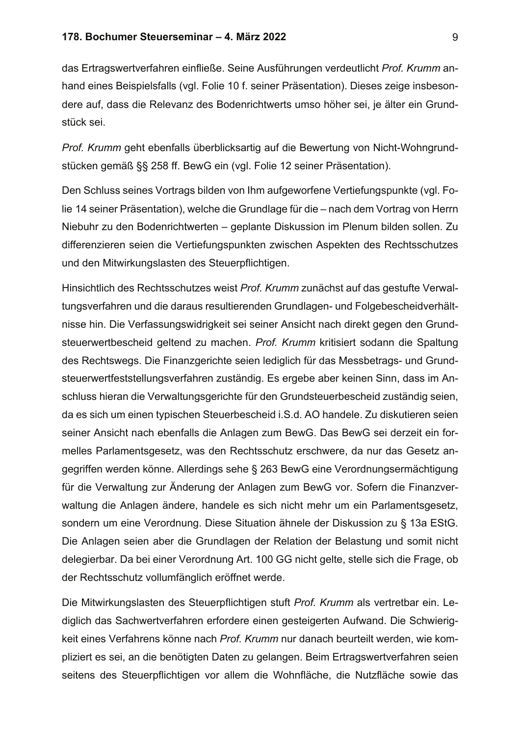das Ertragswertverfahren einfließe. Seine Ausführungen verdeutlicht Prof. Krumm anhand eines Beispielsfalls (vgl. Folie 10 f. seiner Präsentation). Dieses zeige insbesondere auf, dass die Relevanz des Bodenrichtwerts umso höher sei, je älter ein Grundstück sei.

Prof. Krumm geht ebenfalls überblicksartig auf die Bewertung von Nicht-Wohngrundstücken gemäß §§ 258 ff. BewG ein (vgl. Folie 12 seiner Präsentation).

Den Schluss seines Vortrags bilden von Ihm aufgeworfene Vertiefungspunkte (vgl. Folie 14 seiner Präsentation), welche die Grundlage für die – nach dem Vortrag von Herrn Niebuhr zu den Bodenrichtwerten – geplante Diskussion im Plenum bilden sollen. Zu differenzieren seien die Vertiefungspunkten zwischen Aspekten des Rechtsschutzes und den Mitwirkungslasten des Steuerpflichtigen.

Hinsichtlich des Rechtsschutzes weist Prof. Krumm zunächst auf das gestufte Verwaltungsverfahren und die daraus resultierenden Grundlagen- und Folgebescheidverhältnisse hin. Die Verfassungswidrigkeit sei seiner Ansicht nach direkt gegen den Grundsteuerwertbescheid geltend zu machen. Prof. Krumm kritisiert sodann die Spaltung des Rechtswegs. Die Finanzgerichte seien lediglich für das Messbetrags- und Grundsteuerwertfeststellungsverfahren zuständig. Es ergebe aber keinen Sinn, dass im Anschluss hieran die Verwaltungsgerichte für den Grundsteuerbescheid zuständig seien, da es sich um einen typischen Steuerbescheid i.S.d. AO handele. Zu diskutieren seien seiner Ansicht nach ebenfalls die Anlagen zum BewG. Das BewG sei derzeit ein formelles Parlamentsgesetz, was den Rechtsschutz erschwere, da nur das Gesetz angegriffen werden könne. Allerdings sehe § 263 BewG eine Verordnungsermächtigung für die Verwaltung zur Änderung der Anlagen zum BewG vor. Sofern die Finanzverwaltung die Anlagen ändere, handele es sich nicht mehr um ein Parlamentsgesetz, sondern um eine Verordnung. Diese Situation ähnele der Diskussion zu § 13a EStG. Die Anlagen seien aber die Grundlagen der Relation der Belastung und somit nicht delegierbar. Da bei einer Verordnung Art. 100 GG nicht gelte, stelle sich die Frage, ob der Rechtsschutz vollumfänglich eröffnet werde.

Die Mitwirkungslasten des Steuerpflichtigen stuft Prof. Krumm als vertretbar ein. Lediglich das Sachwertverfahren erfordere einen gesteigerten Aufwand. Die Schwierigkeit eines Verfahrens könne nach Prof. Krumm nur danach beurteilt werden, wie kompliziert es sei, an die benötigten Daten zu gelangen. Beim Ertragswertverfahren seien seitens des Steuerpflichtigen vor allem die Wohnfläche, die Nutzfläche sowie das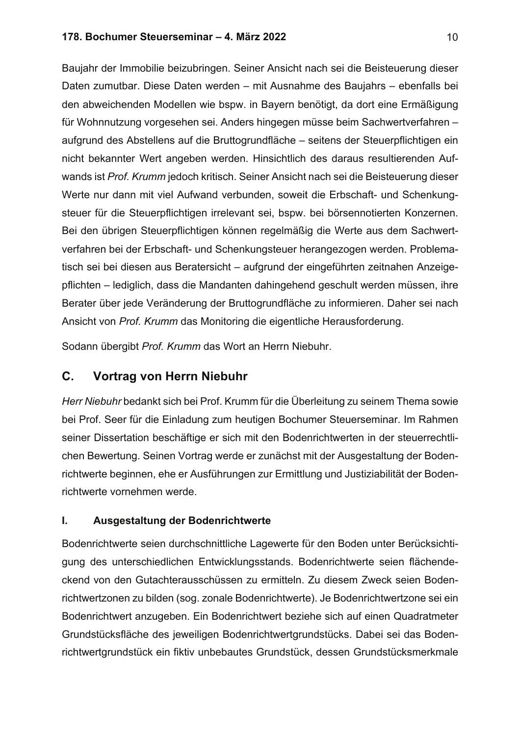## 178. Bochumer Steuerseminar - 4. März 2022

Baujahr der Immobilie beizubringen. Seiner Ansicht nach sei die Beisteuerung dieser Daten zumutbar. Diese Daten werden - mit Ausnahme des Baujahrs - ebenfalls bei den abweichenden Modellen wie bspw. in Bayern benötigt, da dort eine Ermäßigung für Wohnnutzung vorgesehen sei. Anders hingegen müsse beim Sachwertverfahren aufgrund des Abstellens auf die Bruttogrundfläche - seitens der Steuerpflichtigen ein nicht bekannter Wert angeben werden. Hinsichtlich des daraus resultierenden Aufwands ist Prof. Krumm jedoch kritisch. Seiner Ansicht nach sei die Beisteuerung dieser Werte nur dann mit viel Aufwand verbunden, soweit die Erbschaft- und Schenkungsteuer für die Steuerpflichtigen irrelevant sei, bspw. bei börsennotierten Konzernen. Bei den übrigen Steuerpflichtigen können regelmäßig die Werte aus dem Sachwertverfahren bei der Erbschaft- und Schenkungsteuer herangezogen werden. Problematisch sei bei diesen aus Beratersicht - aufgrund der eingeführten zeitnahen Anzeigepflichten - lediglich, dass die Mandanten dahingehend geschult werden müssen, ihre Berater über jede Veränderung der Bruttogrundfläche zu informieren. Daher sei nach Ansicht von Prof. Krumm das Monitoring die eigentliche Herausforderung.

Sodann übergibt Prof. Krumm das Wort an Herrn Niebuhr.

### C. **Vortrag von Herrn Niebuhr**

Herr Niebuhr bedankt sich bei Prof. Krumm für die Überleitung zu seinem Thema sowie bei Prof. Seer für die Einladung zum heutigen Bochumer Steuerseminar. Im Rahmen seiner Dissertation beschäftige er sich mit den Bodenrichtwerten in der steuerrechtlichen Bewertung. Seinen Vortrag werde er zunächst mit der Ausgestaltung der Bodenrichtwerte beginnen, ehe er Ausführungen zur Ermittlung und Justiziabilität der Bodenrichtwerte vornehmen werde.

### $\mathbf{L}$ Ausgestaltung der Bodenrichtwerte

Bodenrichtwerte seien durchschnittliche Lagewerte für den Boden unter Berücksichtigung des unterschiedlichen Entwicklungsstands. Bodenrichtwerte seien flächendeckend von den Gutachterausschüssen zu ermitteln. Zu diesem Zweck seien Bodenrichtwertzonen zu bilden (sog. zonale Bodenrichtwerte). Je Bodenrichtwertzone sei ein Bodenrichtwert anzugeben. Ein Bodenrichtwert beziehe sich auf einen Quadratmeter Grundstücksfläche des jeweiligen Bodenrichtwertgrundstücks. Dabei sei das Bodenrichtwertgrundstück ein fiktiv unbebautes Grundstück, dessen Grundstücksmerkmale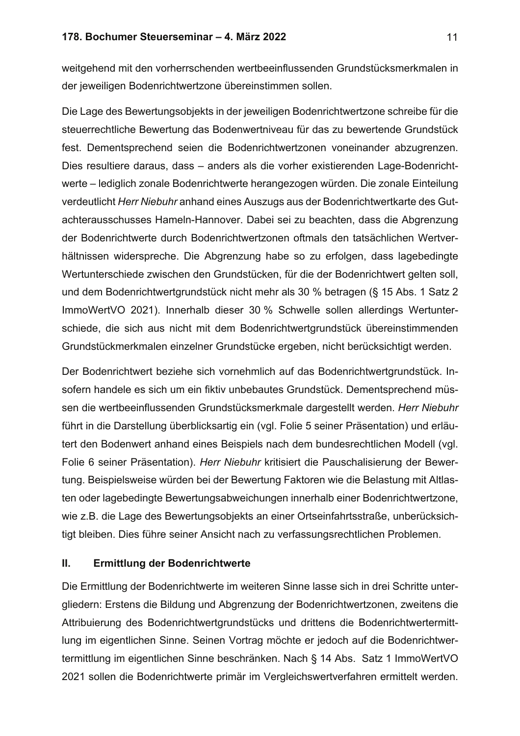weitgehend mit den vorherrschenden wertbeeinflussenden Grundstücksmerkmalen in der jeweiligen Bodenrichtwertzone übereinstimmen sollen.

Die Lage des Bewertungsobjekts in der jeweiligen Bodenrichtwertzone schreibe für die steuerrechtliche Bewertung das Bodenwertniveau für das zu bewertende Grundstück fest. Dementsprechend seien die Bodenrichtwertzonen voneinander abzugrenzen. Dies resultiere daraus, dass - anders als die vorher existierenden Lage-Bodenrichtwerte – lediglich zonale Bodenrichtwerte herangezogen würden. Die zonale Einteilung verdeutlicht Herr Niebuhr anhand eines Auszugs aus der Bodenrichtwertkarte des Gutachterausschusses Hameln-Hannover. Dabei sei zu beachten, dass die Abgrenzung der Bodenrichtwerte durch Bodenrichtwertzonen oftmals den tatsächlichen Wertverhältnissen widerspreche. Die Abgrenzung habe so zu erfolgen, dass lagebedingte Wertunterschiede zwischen den Grundstücken, für die der Bodenrichtwert gelten soll, und dem Bodenrichtwertgrundstück nicht mehr als 30 % betragen (§ 15 Abs. 1 Satz 2 ImmoWertVO 2021). Innerhalb dieser 30 % Schwelle sollen allerdings Wertunterschiede, die sich aus nicht mit dem Bodenrichtwertgrundstück übereinstimmenden Grundstückmerkmalen einzelner Grundstücke ergeben, nicht berücksichtigt werden.

Der Bodenrichtwert beziehe sich vornehmlich auf das Bodenrichtwertgrundstück. Insofern handele es sich um ein fiktiv unbebautes Grundstück. Dementsprechend müssen die wertbeeinflussenden Grundstücksmerkmale dargestellt werden. Herr Niebuhr führt in die Darstellung überblicksartig ein (vgl. Folie 5 seiner Präsentation) und erläutert den Bodenwert anhand eines Beispiels nach dem bundesrechtlichen Modell (vgl. Folie 6 seiner Präsentation). Herr Niebuhr kritisiert die Pauschalisierung der Bewertung. Beispielsweise würden bei der Bewertung Faktoren wie die Belastung mit Altlasten oder lagebedingte Bewertungsabweichungen innerhalb einer Bodenrichtwertzone, wie z.B. die Lage des Bewertungsobjekts an einer Ortseinfahrtsstraße, unberücksichtigt bleiben. Dies führe seiner Ansicht nach zu verfassungsrechtlichen Problemen.

#### $II.$ **Ermittlung der Bodenrichtwerte**

Die Ermittlung der Bodenrichtwerte im weiteren Sinne lasse sich in drei Schritte untergliedern: Erstens die Bildung und Abgrenzung der Bodenrichtwertzonen, zweitens die Attribuierung des Bodenrichtwertgrundstücks und drittens die Bodenrichtwertermittlung im eigentlichen Sinne. Seinen Vortrag möchte er jedoch auf die Bodenrichtwertermittlung im eigentlichen Sinne beschränken. Nach § 14 Abs. Satz 1 ImmoWertVO 2021 sollen die Bodenrichtwerte primär im Vergleichswertverfahren ermittelt werden.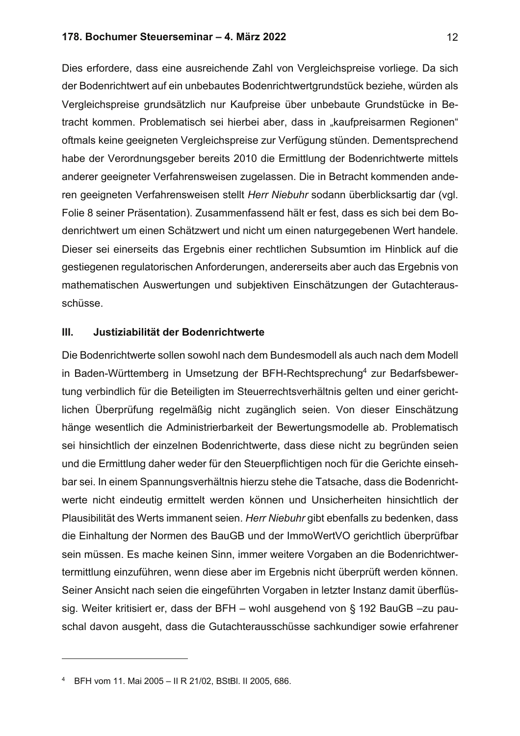## 178. Bochumer Steuerseminar - 4. März 2022

Dies erfordere, dass eine ausreichende Zahl von Vergleichspreise vorliege. Da sich der Bodenrichtwert auf ein unbebautes Bodenrichtwertgrundstück beziehe, würden als Vergleichspreise grundsätzlich nur Kaufpreise über unbebaute Grundstücke in Betracht kommen. Problematisch sei hierbei aber, dass in "kaufpreisarmen Regionen" oftmals keine geeigneten Vergleichspreise zur Verfügung stünden. Dementsprechend habe der Verordnungsgeber bereits 2010 die Ermittlung der Bodenrichtwerte mittels anderer geeigneter Verfahrensweisen zugelassen. Die in Betracht kommenden anderen geeigneten Verfahrensweisen stellt Herr Niebuhr sodann überblicksartig dar (vgl. Folie 8 seiner Präsentation). Zusammenfassend hält er fest, dass es sich bei dem Bodenrichtwert um einen Schätzwert und nicht um einen naturgegebenen Wert handele. Dieser sei einerseits das Ergebnis einer rechtlichen Subsumtion im Hinblick auf die gestiegenen regulatorischen Anforderungen, andererseits aber auch das Ergebnis von mathematischen Auswertungen und subjektiven Einschätzungen der Gutachterausschüsse.

#### $III.$ Justiziabilität der Bodenrichtwerte

Die Bodenrichtwerte sollen sowohl nach dem Bundesmodell als auch nach dem Modell in Baden-Württemberg in Umsetzung der BFH-Rechtsprechung<sup>4</sup> zur Bedarfsbewertung verbindlich für die Beteiligten im Steuerrechtsverhältnis gelten und einer gerichtlichen Überprüfung regelmäßig nicht zugänglich seien. Von dieser Einschätzung hänge wesentlich die Administrierbarkeit der Bewertungsmodelle ab. Problematisch sei hinsichtlich der einzelnen Bodenrichtwerte, dass diese nicht zu begründen seien und die Ermittlung daher weder für den Steuerpflichtigen noch für die Gerichte einsehbar sei. In einem Spannungsverhältnis hierzu stehe die Tatsache, dass die Bodenrichtwerte nicht eindeutig ermittelt werden können und Unsicherheiten hinsichtlich der Plausibilität des Werts immanent seien. Herr Niebuhr gibt ebenfalls zu bedenken, dass die Einhaltung der Normen des BauGB und der ImmoWertVO gerichtlich überprüfbar sein müssen. Es mache keinen Sinn, immer weitere Vorgaben an die Bodenrichtwertermittlung einzuführen, wenn diese aber im Ergebnis nicht überprüft werden können. Seiner Ansicht nach seien die eingeführten Vorgaben in letzter Instanz damit überflüssig. Weiter kritisiert er, dass der BFH - wohl ausgehend von § 192 BauGB -zu pauschal davon ausgeht, dass die Gutachterausschüsse sachkundiger sowie erfahrener

<sup>&</sup>lt;sup>4</sup> BFH vom 11. Mai 2005 - II R 21/02, BStBI. II 2005, 686.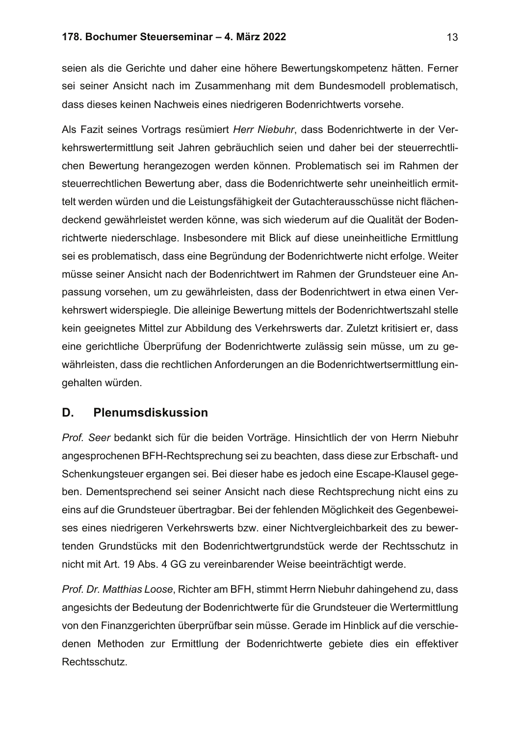## 178. Bochumer Steuerseminar – 4. März 2022

seien als die Gerichte und daher eine höhere Bewertungskompetenz hätten. Ferner sei seiner Ansicht nach im Zusammenhang mit dem Bundesmodell problematisch, dass dieses keinen Nachweis eines niedrigeren Bodenrichtwerts vorsehe.

Als Fazit seines Vortrags resümiert Herr Niebuhr, dass Bodenrichtwerte in der Verkehrswertermittlung seit Jahren gebräuchlich seien und daher bei der steuerrechtlichen Bewertung herangezogen werden können. Problematisch sei im Rahmen der steuerrechtlichen Bewertung aber, dass die Bodenrichtwerte sehr uneinheitlich ermittelt werden würden und die Leistungsfähigkeit der Gutachterausschüsse nicht flächendeckend gewährleistet werden könne, was sich wiederum auf die Qualität der Bodenrichtwerte niederschlage. Insbesondere mit Blick auf diese uneinheitliche Ermittlung sei es problematisch, dass eine Begründung der Bodenrichtwerte nicht erfolge. Weiter müsse seiner Ansicht nach der Bodenrichtwert im Rahmen der Grundsteuer eine Anpassung vorsehen, um zu gewährleisten, dass der Bodenrichtwert in etwa einen Verkehrswert widerspiegle. Die alleinige Bewertung mittels der Bodenrichtwertszahl stelle kein geeignetes Mittel zur Abbildung des Verkehrswerts dar. Zuletzt kritisiert er, dass eine gerichtliche Überprüfung der Bodenrichtwerte zulässig sein müsse, um zu gewährleisten, dass die rechtlichen Anforderungen an die Bodenrichtwertsermittlung eingehalten würden.

### Plenumsdiskussion D.

Prof. Seer bedankt sich für die beiden Vorträge. Hinsichtlich der von Herrn Niebuhr angesprochenen BFH-Rechtsprechung sei zu beachten, dass diese zur Erbschaft- und Schenkungsteuer ergangen sei. Bei dieser habe es jedoch eine Escape-Klausel gegeben. Dementsprechend sei seiner Ansicht nach diese Rechtsprechung nicht eins zu eins auf die Grundsteuer übertragbar. Bei der fehlenden Möglichkeit des Gegenbeweises eines niedrigeren Verkehrswerts bzw. einer Nichtvergleichbarkeit des zu bewertenden Grundstücks mit den Bodenrichtwertgrundstück werde der Rechtsschutz in nicht mit Art. 19 Abs. 4 GG zu vereinbarender Weise beeinträchtigt werde.

Prof. Dr. Matthias Loose, Richter am BFH, stimmt Herrn Niebuhr dahingehend zu, dass angesichts der Bedeutung der Bodenrichtwerte für die Grundsteuer die Wertermittlung von den Finanzgerichten überprüfbar sein müsse. Gerade im Hinblick auf die verschiedenen Methoden zur Ermittlung der Bodenrichtwerte gebiete dies ein effektiver Rechtsschutz.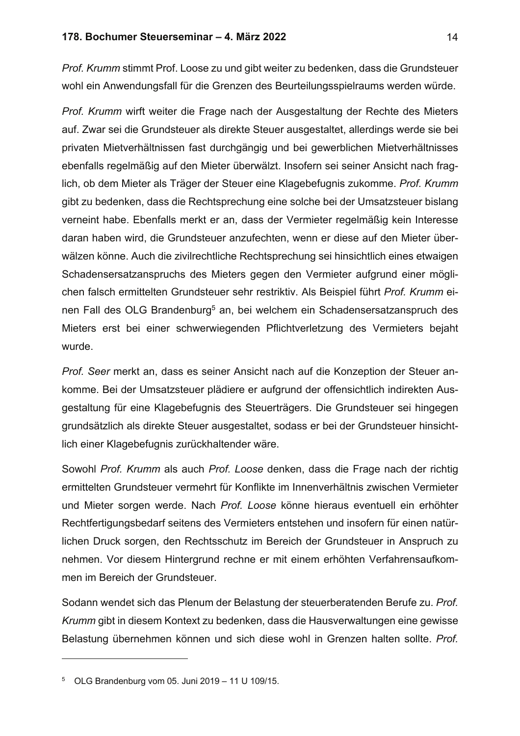## 178. Bochumer Steuerseminar - 4. März 2022

Prof. Krumm stimmt Prof. Loose zu und gibt weiter zu bedenken, dass die Grundsteuer wohl ein Anwendungsfall für die Grenzen des Beurteilungsspielraums werden würde.

Prof. Krumm wirft weiter die Frage nach der Ausgestaltung der Rechte des Mieters auf. Zwar sei die Grundsteuer als direkte Steuer ausgestaltet, allerdings werde sie bei privaten Mietverhältnissen fast durchgängig und bei gewerblichen Mietverhältnisses ebenfalls regelmäßig auf den Mieter überwälzt. Insofern sei seiner Ansicht nach fraglich, ob dem Mieter als Träger der Steuer eine Klagebefugnis zukomme. Prof. Krumm gibt zu bedenken, dass die Rechtsprechung eine solche bei der Umsatzsteuer bislang verneint habe. Ebenfalls merkt er an, dass der Vermieter regelmäßig kein Interesse daran haben wird, die Grundsteuer anzufechten, wenn er diese auf den Mieter überwälzen könne. Auch die zivilrechtliche Rechtsprechung sei hinsichtlich eines etwaigen Schadensersatzanspruchs des Mieters gegen den Vermieter aufgrund einer möglichen falsch ermittelten Grundsteuer sehr restriktiv. Als Beispiel führt Prof. Krumm einen Fall des OLG Brandenburg<sup>5</sup> an, bei welchem ein Schadensersatzanspruch des Mieters erst bei einer schwerwiegenden Pflichtverletzung des Vermieters bejaht wurde.

Prof. Seer merkt an, dass es seiner Ansicht nach auf die Konzeption der Steuer ankomme. Bei der Umsatzsteuer plädiere er aufgrund der offensichtlich indirekten Ausgestaltung für eine Klagebefugnis des Steuerträgers. Die Grundsteuer sei hingegen grundsätzlich als direkte Steuer ausgestaltet, sodass er bei der Grundsteuer hinsichtlich einer Klagebefugnis zurückhaltender wäre.

Sowohl Prof. Krumm als auch Prof. Loose denken, dass die Frage nach der richtig ermittelten Grundsteuer vermehrt für Konflikte im Innenverhältnis zwischen Vermieter und Mieter sorgen werde. Nach Prof. Loose könne hieraus eventuell ein erhöhter Rechtfertigungsbedarf seitens des Vermieters entstehen und insofern für einen natürlichen Druck sorgen, den Rechtsschutz im Bereich der Grundsteuer in Anspruch zu nehmen. Vor diesem Hintergrund rechne er mit einem erhöhten Verfahrensaufkommen im Bereich der Grundsteuer.

Sodann wendet sich das Plenum der Belastung der steuerberatenden Berufe zu. Prof. Krumm gibt in diesem Kontext zu bedenken, dass die Hausverwaltungen eine gewisse Belastung übernehmen können und sich diese wohl in Grenzen halten sollte. Prof.

<sup>&</sup>lt;sup>5</sup> OLG Brandenburg vom 05. Juni 2019 - 11 U 109/15.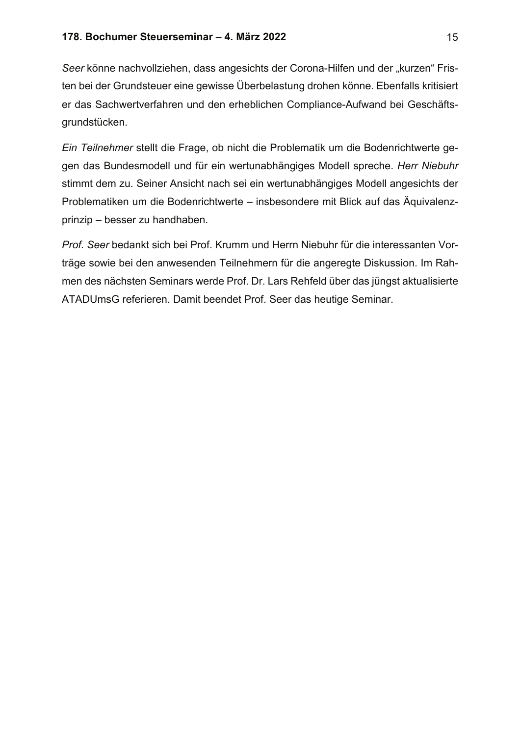Seer könne nachvollziehen, dass angesichts der Corona-Hilfen und der "kurzen" Fristen bei der Grundsteuer eine gewisse Überbelastung drohen könne. Ebenfalls kritisiert er das Sachwertverfahren und den erheblichen Compliance-Aufwand bei Geschäftsgrundstücken.

Ein Teilnehmer stellt die Frage, ob nicht die Problematik um die Bodenrichtwerte gegen das Bundesmodell und für ein wertunabhängiges Modell spreche. Herr Niebuhr stimmt dem zu. Seiner Ansicht nach sei ein wertunabhängiges Modell angesichts der Problematiken um die Bodenrichtwerte – insbesondere mit Blick auf das Äquivalenzprinzip - besser zu handhaben.

Prof. Seer bedankt sich bei Prof. Krumm und Herrn Niebuhr für die interessanten Vorträge sowie bei den anwesenden Teilnehmern für die angeregte Diskussion. Im Rahmen des nächsten Seminars werde Prof. Dr. Lars Rehfeld über das jüngst aktualisierte ATADUmsG referieren. Damit beendet Prof. Seer das heutige Seminar.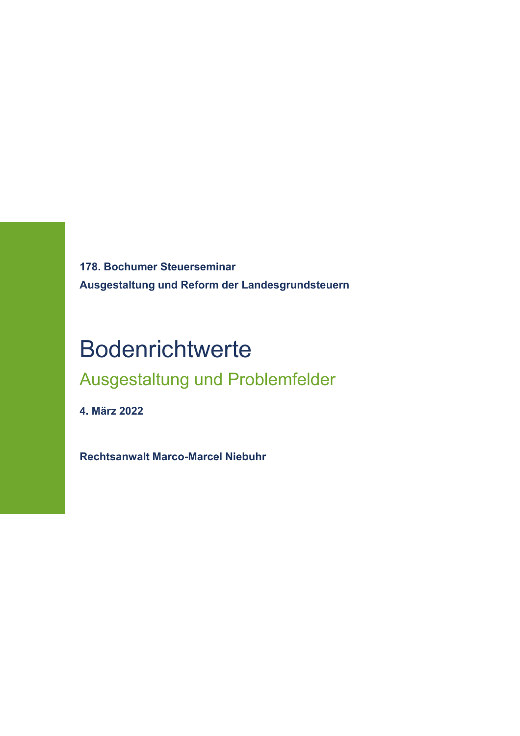**178. Bochumer Steuerseminar Ausgestaltung und Reform der Landesgrundsteuern**

# Bodenrichtwerte

## Ausgestaltung und Problemfelder

**4. März 2022**

**Rechtsanwalt Marco-Marcel Niebuhr**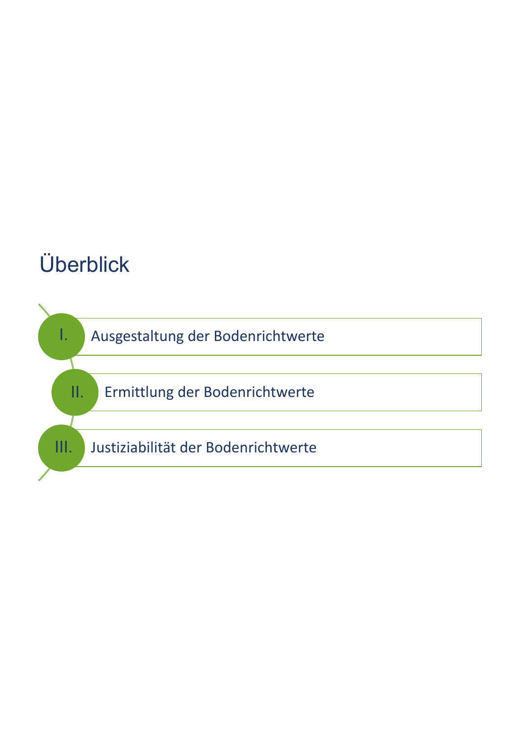# Überblick

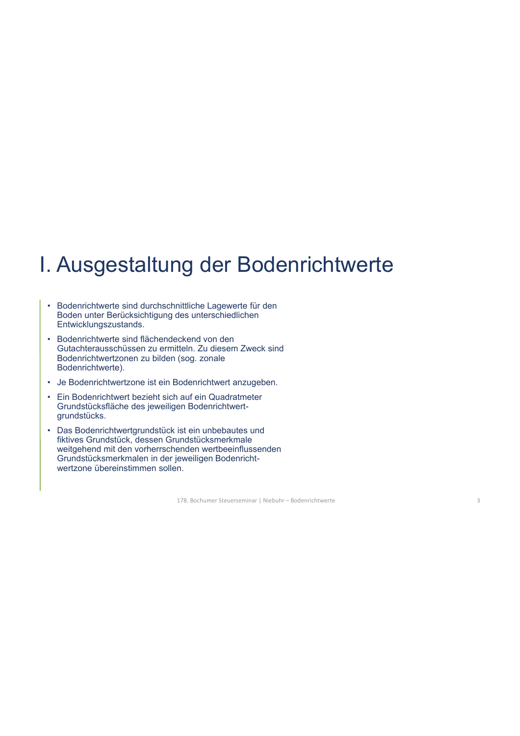- Bodenrichtwerte sind durchschnittliche Lagewerte für den Boden unter Berücksichtigung des unterschiedlichen Entwicklungszustands.
- Bodenrichtwerte sind flächendeckend von den Gutachterausschüssen zu ermitteln. Zu diesem Zweck sind Bodenrichtwertzonen zu bilden (sog. zonale Bodenrichtwerte).
- Je Bodenrichtwertzone ist ein Bodenrichtwert anzugeben.
- Ein Bodenrichtwert bezieht sich auf ein Quadratmeter Grundstücksfläche des jeweiligen Bodenrichtwertgrundstücks.
- Das Bodenrichtwertgrundstück ist ein unbebautes und fiktives Grundstück, dessen Grundstücksmerkmale weitgehend mit den vorherrschenden wertbeeinflussenden Grundstücksmerkmalen in der jeweiligen Bodenrichtwertzone übereinstimmen sollen.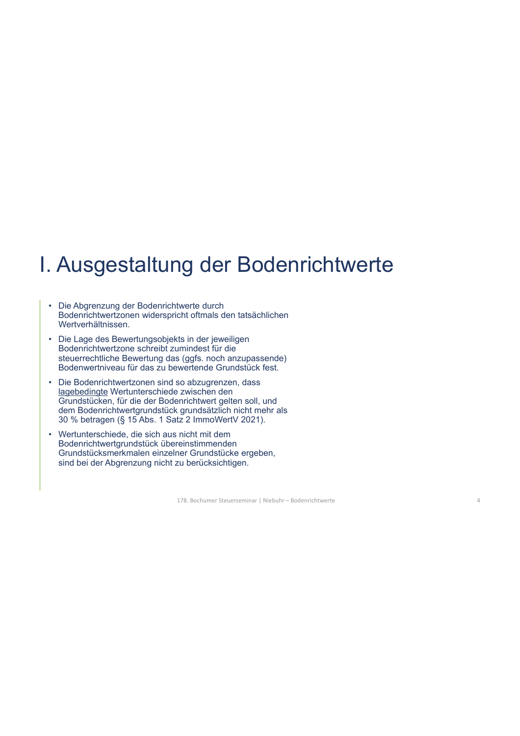- Die Abgrenzung der Bodenrichtwerte durch Bodenrichtwertzonen widerspricht oftmals den tatsächlichen Wertverhältnissen.
- Die Lage des Bewertungsobjekts in der jeweiligen Bodenrichtwertzone schreibt zumindest für die steuerrechtliche Bewertung das (ggfs. noch anzupassende) Bodenwertniveau für das zu bewertende Grundstück fest.
- Die Bodenrichtwertzonen sind so abzugrenzen, dass lagebedingte Wertunterschiede zwischen den Grundstücken, für die der Bodenrichtwert gelten soll, und dem Bodenrichtwertgrundstück grundsätzlich nicht mehr als 30 % betragen (§ 15 Abs. 1 Satz 2 ImmoWertV 2021).
- Wertunterschiede, die sich aus nicht mit dem Bodenrichtwertgrundstück übereinstimmenden Grundstücksmerkmalen einzelner Grundstücke ergeben, sind bei der Abgrenzung nicht zu berücksichtigen.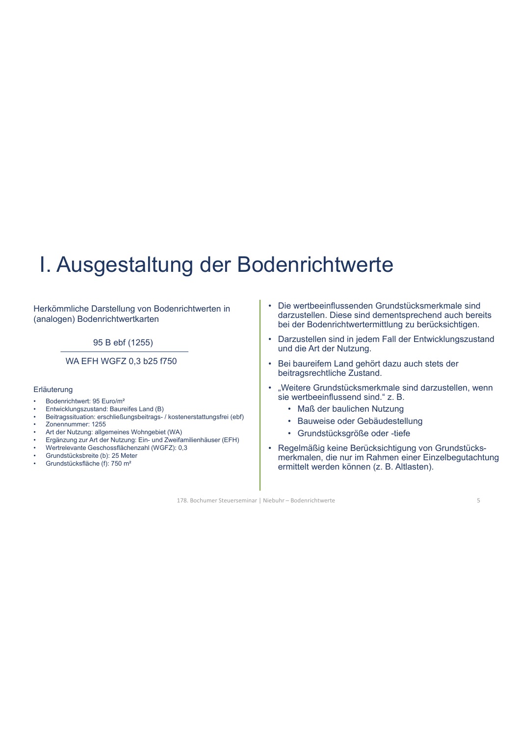Herkömmliche Darstellung von Bodenrichtwerten in (analogen) Bodenrichtwertkarten

95 B ebf (1255)

WA EFH WGFZ 0,3 b25 f750

### Erläuterung

- Bodenrichtwert: 95 Euro/m²
- Entwicklungszustand: Baureifes Land (B)
- Beitragssituation: erschließungsbeitrags- / kostenerstattungsfrei (ebf)
- Zonennummer: 1255
- Art der Nutzung: allgemeines Wohngebiet (WA)
- Ergänzung zur Art der Nutzung: Ein- und Zweifamilienhäuser (EFH)
- Wertrelevante Geschossflächenzahl (WGFZ): 0,3
- Grundstücksbreite (b): 25 Meter
- Grundstücksfläche (f): 750 m²
- Die wertbeeinflussenden Grundstücksmerkmale sind darzustellen. Diese sind dementsprechend auch bereits bei der Bodenrichtwertermittlung zu berücksichtigen.
- Darzustellen sind in jedem Fall der Entwicklungszustand und die Art der Nutzung.
- Bei baureifem Land gehört dazu auch stets der beitragsrechtliche Zustand.
- "Weitere Grundstücksmerkmale sind darzustellen, wenn sie wertbeeinflussend sind." z. B.
	- Maß der baulichen Nutzung
	- Bauweise oder Gebäudestellung
	- Grundstücksgröße oder -tiefe
- Regelmäßig keine Berücksichtigung von Grundstücksmerkmalen, die nur im Rahmen einer Einzelbegutachtung ermittelt werden können (z. B. Altlasten).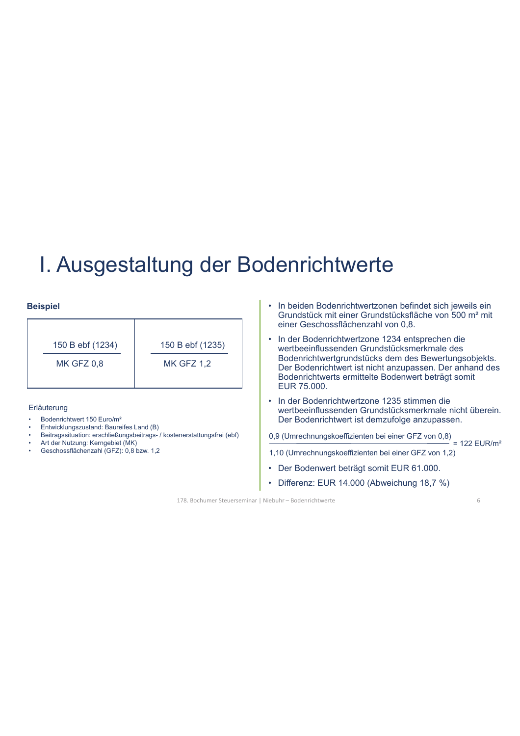### **Beispiel**

| 150 B ebf (1234)  | 150 B ebf (1235)  |
|-------------------|-------------------|
| <b>MK GFZ 0,8</b> | <b>MK GFZ 1,2</b> |
|                   |                   |

### Erläuterung

- Bodenrichtwert 150 Euro/m²
- Entwicklungszustand: Baureifes Land (B)
- Beitragssituation: erschließungsbeitrags- / kostenerstattungsfrei (ebf)
- Art der Nutzung: Kerngebiet (MK)
- Geschossflächenzahl (GFZ): 0,8 bzw. 1,2
- In beiden Bodenrichtwertzonen befindet sich jeweils ein Grundstück mit einer Grundstücksfläche von 500 m² mit einer Geschossflächenzahl von 0,8.
- In der Bodenrichtwertzone 1234 entsprechen die wertbeeinflussenden Grundstücksmerkmale des Bodenrichtwertgrundstücks dem des Bewertungsobjekts. Der Bodenrichtwert ist nicht anzupassen. Der anhand des Bodenrichtwerts ermittelte Bodenwert beträgt somit EUR 75.000.
- In der Bodenrichtwertzone 1235 stimmen die wertbeeinflussenden Grundstücksmerkmale nicht überein. Der Bodenrichtwert ist demzufolge anzupassen.

0,9 (Umrechnungskoeffizienten bei einer GFZ von 0,8)

- 1,10 (Umrechnungskoeffizienten bei einer GFZ von 1,2)  $= 122$  EUR/m<sup>2</sup>
- Der Bodenwert beträgt somit EUR 61.000.
- Differenz: EUR 14.000 (Abweichung 18,7 %)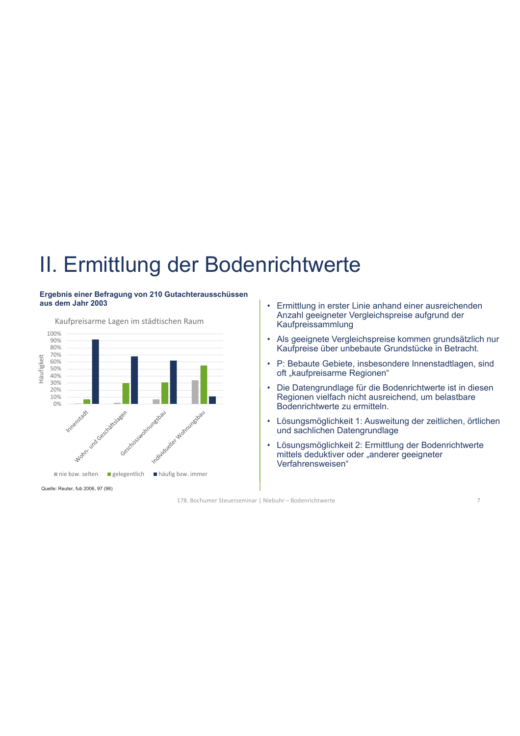## II. Ermittlung der Bodenrichtwerte

### **Ergebnis einer Befragung von 210 Gutachterausschüssen aus dem Jahr 2003**



Quelle: Reuter, fub 2006, 97 (98)

- Ermittlung in erster Linie anhand einer ausreichenden Anzahl geeigneter Vergleichspreise aufgrund der Kaufpreissammlung
- Als geeignete Vergleichspreise kommen grundsätzlich nur Kaufpreise über unbebaute Grundstücke in Betracht.
- P: Bebaute Gebiete, insbesondere Innenstadtlagen, sind oft "kaufpreisarme Regionen"
- Die Datengrundlage für die Bodenrichtwerte ist in diesen Regionen vielfach nicht ausreichend, um belastbare Bodenrichtwerte zu ermitteln.
- Lösungsmöglichkeit 1: Ausweitung der zeitlichen, örtlichen und sachlichen Datengrundlage
- Lösungsmöglichkeit 2: Ermittlung der Bodenrichtwerte mittels deduktiver oder "anderer geeigneter Verfahrensweisen"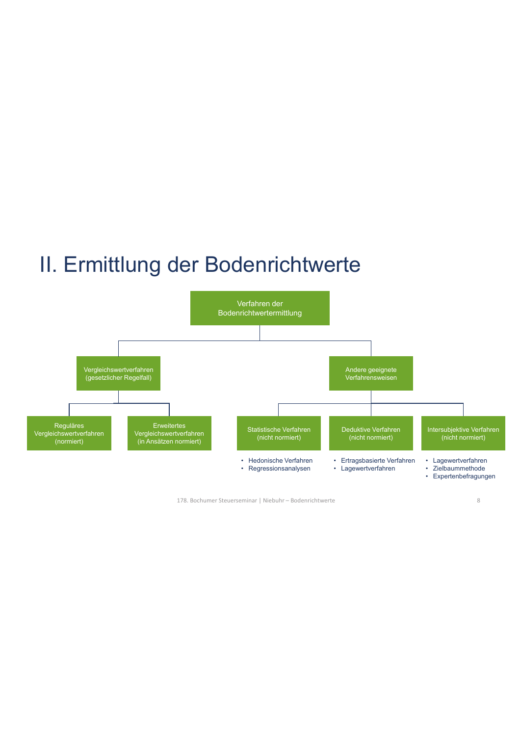## II. Ermittlung der Bodenrichtwerte



178. Bochumer Steuerseminar | Niebuhr – Bodenrichtwerte

8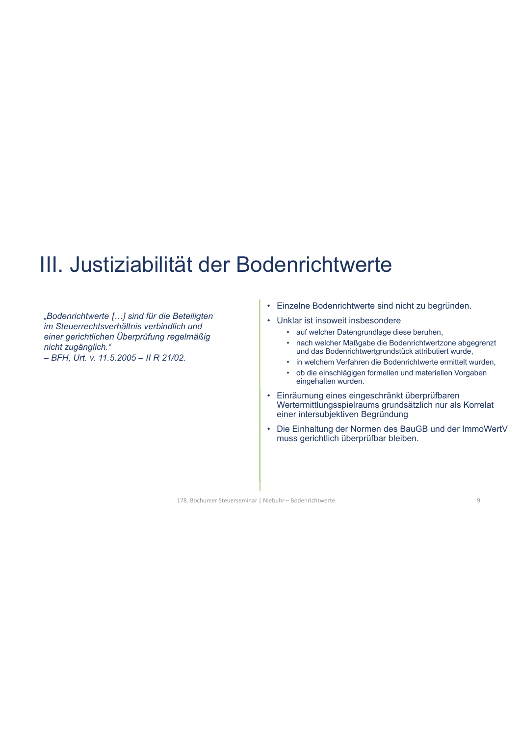## III. Justiziabilität der Bodenrichtwerte

*"Bodenrichtwerte […] sind für die Beteiligten im Steuerrechtsverhältnis verbindlich und einer gerichtlichen Überprüfung regelmäßig nicht zugänglich." – BFH, Urt. v. 11.5.2005 – II R 21/02.*

- Einzelne Bodenrichtwerte sind nicht zu begründen.
- Unklar ist insoweit insbesondere
	- auf welcher Datengrundlage diese beruhen,
	- nach welcher Maßgabe die Bodenrichtwertzone abgegrenzt und das Bodenrichtwertgrundstück attributiert wurde,
	- in welchem Verfahren die Bodenrichtwerte ermittelt wurden,
	- ob die einschlägigen formellen und materiellen Vorgaben eingehalten wurden.
- Einräumung eines eingeschränkt überprüfbaren Wertermittlungsspielraums grundsätzlich nur als Korrelat einer intersubjektiven Begründung
- Die Einhaltung der Normen des BauGB und der ImmoWertV muss gerichtlich überprüfbar bleiben.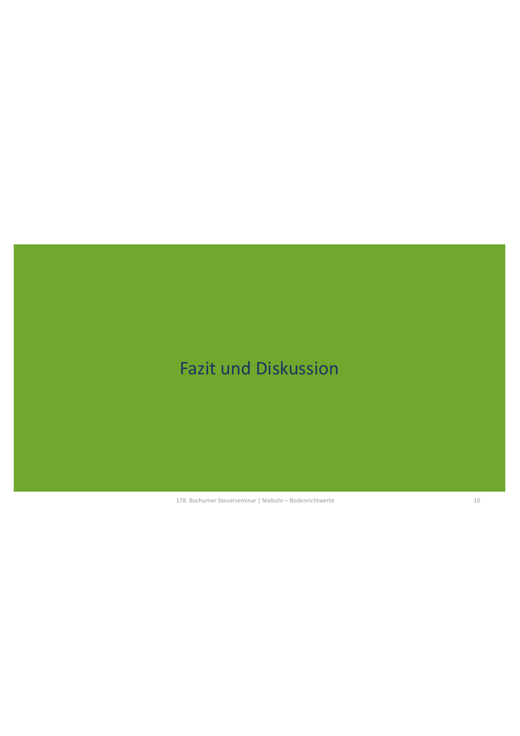## Fazit und Diskussion